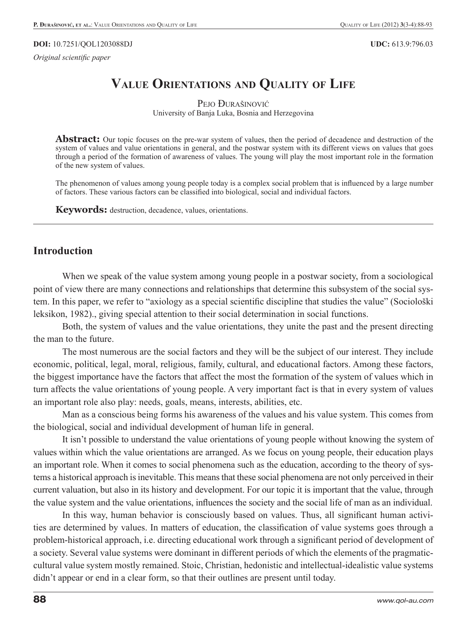*Original scientific paper* 

# **VALUE ORIENTATIONS AND QUALITY OF LIFE**

PEJO ĐURAŠINOVIĆ University of Banja Luka, Bosnia and Herzegovina

**Abstract:** Our topic focuses on the pre-war system of values, then the period of decadence and destruction of the system of values and value orientations in general, and the postwar system with its different views on values that goes through a period of the formation of awareness of values. The young will play the most important role in the formation of the new system of values.

The phenomenon of values among young people today is a complex social problem that is influenced by a large number of factors. These various factors can be classified into biological, social and individual factors.

**Keywords:** destruction, decadence, values, orientations.

#### **Introduction**

When we speak of the value system among young people in a postwar society, from a sociological point of view there are many connections and relationships that determine this subsystem of the social system. In this paper, we refer to "axiology as a special scientific discipline that studies the value" (Sociološki leksikon, 1982)., giving special attention to their social determination in social functions.

Both, the system of values and the value orientations, they unite the past and the present directing the man to the future.

The most numerous are the social factors and they will be the subject of our interest. They include economic, political, legal, moral, religious, family, cultural, and educational factors. Among these factors, the biggest importance have the factors that affect the most the formation of the system of values which in turn affects the value orientations of young people. A very important fact is that in every system of values an important role also play: needs, goals, means, interests, abilities, etc.

Man as a conscious being forms his awareness of the values and his value system. This comes from the biological, social and individual development of human life in general.

It isn't possible to understand the value orientations of young people without knowing the system of values within which the value orientations are arranged. As we focus on young people, their education plays an important role. When it comes to social phenomena such as the education, according to the theory of systems a historical approach is inevitable. This means that these social phenomena are not only perceived in their current valuation, but also in its history and development. For our topic it is important that the value, through the value system and the value orientations, influences the society and the social life of man as an individual.

In this way, human behavior is consciously based on values. Thus, all significant human activities are determined by values. In matters of education, the classification of value systems goes through a problem-historical approach, i.e. directing educational work through a significant period of development of a society. Several value systems were dominant in different periods of which the elements of the pragmaticcultural value system mostly remained. Stoic, Christian, hedonistic and intellectual-idealistic value systems didn't appear or end in a clear form, so that their outlines are present until today.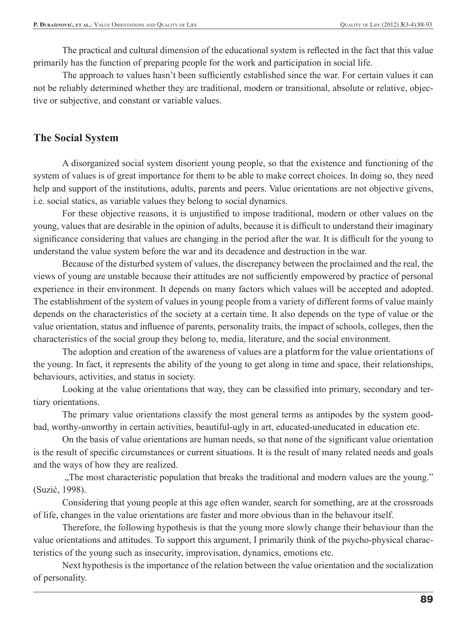The practical and cultural dimension of the educational system is reflected in the fact that this value primarily has the function of preparing people for the work and participation in social life.

The approach to values hasn't been sufficiently established since the war. For certain values it can not be reliably determined whether they are traditional, modern or transitional, absolute or relative, objective or subjective, and constant or variable values.

## **The Social System**

A disorganized social system disorient young people, so that the existence and functioning of the system of values is of great importance for them to be able to make correct choices. In doing so, they need help and support of the institutions, adults, parents and peers. Value orientations are not objective givens, i.e. social statics, as variable values they belong to social dynamics.

For these objective reasons, it is unjustified to impose traditional, modern or other values on the young, values that are desirable in the opinion of adults, because it is difficult to understand their imaginary significance considering that values are changing in the period after the war. It is difficult for the young to understand the value system before the war and its decadence and destruction in the war.

Because of the disturbed system of values, the discrepancy between the proclaimed and the real, the views of young are unstable because their attitudes are not sufficiently empowered by practice of personal experience in their environment. It depends on many factors which values will be accepted and adopted. The establishment of the system of values in young people from a variety of different forms of value mainly depends on the characteristics of the society at a certain time. It also depends on the type of value or the value orientation, status and influence of parents, personality traits, the impact of schools, colleges, then the characteristics of the social group they belong to, media, literature, and the social environment.

The adoption and creation of the awareness of values are a platform for the value orientations of the young. In fact, it represents the ability of the young to get along in time and space, their relationships, behaviours, activities, and status in society.

Looking at the value orientations that way, they can be classified into primary, secondary and tertiary orientations.

The primary value orientations classify the most general terms as antipodes by the system goodbad, worthy-unworthy in certain activities, beautiful-ugly in art, educated-uneducated in education etc.

On the basis of value orientations are human needs, so that none of the significant value orientation is the result of specific circumstances or current situations. It is the result of many related needs and goals and the ways of how they are realized.

 "The most characteristic population that breaks the traditional and modern values are the young." (Suzić, 1998).

Considering that young people at this age often wander, search for something, are at the crossroads of life, changes in the value orientations are faster and more obvious than in the behavour itself.

Therefore, the following hypothesis is that the young more slowly change their behaviour than the value orientations and attitudes. To support this argument, I primarily think of the psycho-physical characteristics of the young such as insecurity, improvisation, dynamics, emotions etc.

Next hypothesis is the importance of the relation between the value orientation and the socialization of personality.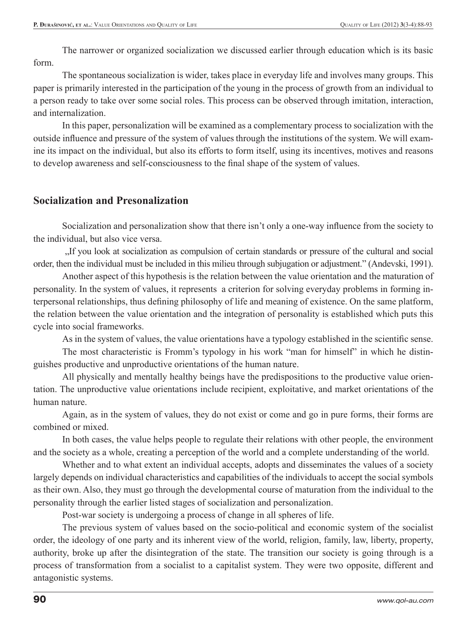The narrower or organized socialization we discussed earlier through education which is its basic form.

The spontaneous socialization is wider, takes place in everyday life and involves many groups. This paper is primarily interested in the participation of the young in the process of growth from an individual to a person ready to take over some social roles. This process can be observed through imitation, interaction, and internalization.

In this paper, personalization will be examined as a complementary process to socialization with the outside influence and pressure of the system of values through the institutions of the system. We will examine its impact on the individual, but also its efforts to form itself, using its incentives, motives and reasons to develop awareness and self-consciousness to the final shape of the system of values.

### **Socialization and Presonalization**

Socialization and personalization show that there isn't only a one-way influence from the society to the individual, but also vice versa.

 "If you look at socialization as compulsion of certain standards or pressure of the cultural and social order, then the individual must be included in this milieu through subjugation or adjustment." (Andevski, 1991).

Another aspect of this hypothesis is the relation between the value orientation and the maturation of personality. In the system of values, it represents a criterion for solving everyday problems in forming interpersonal relationships, thus defining philosophy of life and meaning of existence. On the same platform, the relation between the value orientation and the integration of personality is established which puts this cycle into social frameworks.

As in the system of values, the value orientations have a typology established in the scientific sense.

The most characteristic is Fromm's typology in his work "man for himself" in which he distinguishes productive and unproductive orientations of the human nature.

All physically and mentally healthy beings have the predispositions to the productive value orientation. The unproductive value orientations include recipient, exploitative, and market orientations of the human nature.

Again, as in the system of values, they do not exist or come and go in pure forms, their forms are combined or mixed.

In both cases, the value helps people to regulate their relations with other people, the environment and the society as a whole, creating a perception of the world and a complete understanding of the world.

Whether and to what extent an individual accepts, adopts and disseminates the values of a society largely depends on individual characteristics and capabilities of the individuals to accept the social symbols as their own. Also, they must go through the developmental course of maturation from the individual to the personality through the earlier listed stages of socialization and personalization.

Post-war society is undergoing a process of change in all spheres of life.

The previous system of values based on the socio-political and economic system of the socialist order, the ideology of one party and its inherent view of the world, religion, family, law, liberty, property, authority, broke up after the disintegration of the state. The transition our society is going through is a process of transformation from a socialist to a capitalist system. They were two opposite, different and antagonistic systems.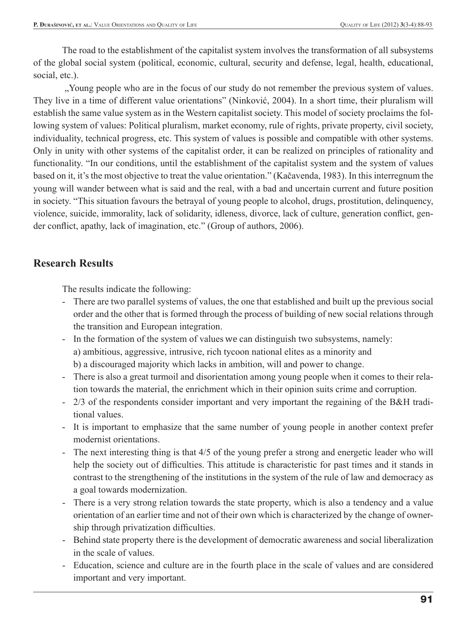The road to the establishment of the capitalist system involves the transformation of all subsystems of the global social system (political, economic, cultural, security and defense, legal, health, educational, social, etc.).

 "Young people who are in the focus of our study do not remember the previous system of values. They live in a time of different value orientations" (Ninković, 2004). In a short time, their pluralism will establish the same value system as in the Western capitalist society. This model of society proclaims the following system of values: Political pluralism, market economy, rule of rights, private property, civil society, individuality, technical progress, etc. This system of values is possible and compatible with other systems. Only in unity with other systems of the capitalist order, it can be realized on principles of rationality and functionality. "In our conditions, until the establishment of the capitalist system and the system of values based on it, it's the most objective to treat the value orientation." (Kačavenda, 1983). In this interregnum the young will wander between what is said and the real, with a bad and uncertain current and future position in society. "This situation favours the betrayal of young people to alcohol, drugs, prostitution, delinquency, violence, suicide, immorality, lack of solidarity, idleness, divorce, lack of culture, generation conflict, gender conflict, apathy, lack of imagination, etc." (Group of authors, 2006).

### **Research Results**

The results indicate the following:

- There are two parallel systems of values, the one that established and built up the previous social order and the other that is formed through the process of building of new social relations through the transition and European integration.
- In the formation of the system of values we can distinguish two subsystems, namely: a) ambitious, aggressive, intrusive, rich tycoon national elites as a minority and b) a discouraged majority which lacks in ambition, will and power to change.
- There is also a great turmoil and disorientation among young people when it comes to their relation towards the material, the enrichment which in their opinion suits crime and corruption.
- 2/3 of the respondents consider important and very important the regaining of the B&H traditional values.
- It is important to emphasize that the same number of young people in another context prefer modernist orientations.
- The next interesting thing is that 4/5 of the young prefer a strong and energetic leader who will help the society out of difficulties. This attitude is characteristic for past times and it stands in contrast to the strengthening of the institutions in the system of the rule of law and democracy as a goal towards modernization.
- There is a very strong relation towards the state property, which is also a tendency and a value orientation of an earlier time and not of their own which is characterized by the change of ownership through privatization difficulties.
- Behind state property there is the development of democratic awareness and social liberalization in the scale of values.
- Education, science and culture are in the fourth place in the scale of values and are considered important and very important.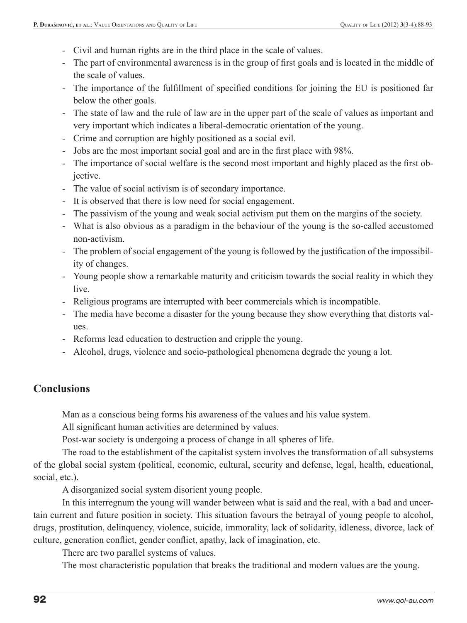- Civil and human rights are in the third place in the scale of values.
- The part of environmental awareness is in the group of first goals and is located in the middle of the scale of values.
- The importance of the fulfillment of specified conditions for joining the EU is positioned far below the other goals.
- The state of law and the rule of law are in the upper part of the scale of values as important and very important which indicates a liberal-democratic orientation of the young.
- Crime and corruption are highly positioned as a social evil.
- Jobs are the most important social goal and are in the first place with 98%.
- The importance of social welfare is the second most important and highly placed as the first objective.
- The value of social activism is of secondary importance.
- It is observed that there is low need for social engagement.
- The passivism of the young and weak social activism put them on the margins of the society.
- What is also obvious as a paradigm in the behaviour of the young is the so-called accustomed non-activism.
- The problem of social engagement of the young is followed by the justification of the impossibility of changes.
- Young people show a remarkable maturity and criticism towards the social reality in which they live.
- Religious programs are interrupted with beer commercials which is incompatible.
- The media have become a disaster for the young because they show everything that distorts values.
- Reforms lead education to destruction and cripple the young.
- Alcohol, drugs, violence and socio-pathological phenomena degrade the young a lot.

## **Conclusions**

Man as a conscious being forms his awareness of the values and his value system.

All significant human activities are determined by values.

Post-war society is undergoing a process of change in all spheres of life.

The road to the establishment of the capitalist system involves the transformation of all subsystems of the global social system (political, economic, cultural, security and defense, legal, health, educational, social, etc.).

A disorganized social system disorient young people.

In this interregnum the young will wander between what is said and the real, with a bad and uncertain current and future position in society. This situation favours the betrayal of young people to alcohol, drugs, prostitution, delinquency, violence, suicide, immorality, lack of solidarity, idleness, divorce, lack of culture, generation conflict, gender conflict, apathy, lack of imagination, etc.

There are two parallel systems of values.

The most characteristic population that breaks the traditional and modern values are the young.